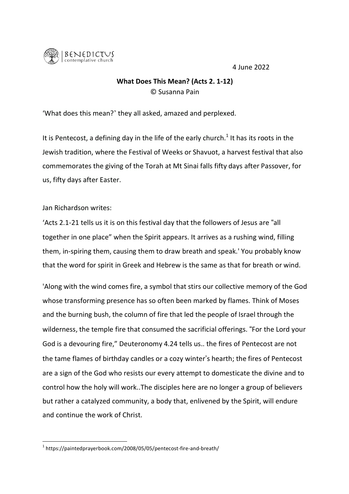4 June 2022



## **What Does This Mean?** (Acts 2. 1-12) © Susanna Pain

'What does this mean?' they all asked, amazed and perplexed.

It is Pentecost, a defining day in the life of the early church.<sup>1</sup> It has its roots in the Jewish tradition, where the Festival of Weeks or Shavuot, a harvest festival that also commemorates the giving of the Torah at Mt Sinai falls fifty days after Passover, for us, fifty days after Easter.

Jan Richardson writes:

'Acts 2.1-21 tells us it is on this festival day that the followers of Jesus are "all together in one place" when the Spirit appears. It arrives as a rushing wind, filling them, in-spiring them, causing them to draw breath and speak.' You probably know that the word for spirit in Greek and Hebrew is the same as that for breath or wind.

'Along with the wind comes fire, a symbol that stirs our collective memory of the God whose transforming presence has so often been marked by flames. Think of Moses and the burning bush, the column of fire that led the people of Israel through the wilderness, the temple fire that consumed the sacrificial offerings. "For the Lord your God is a devouring fire," Deuteronomy 4.24 tells us.. the fires of Pentecost are not the tame flames of birthday candles or a cozy winter"s hearth; the fires of Pentecost are a sign of the God who resists our every attempt to domesticate the divine and to control how the holy will work..The disciples here are no longer a group of believers but rather a catalyzed community, a body that, enlivened by the Spirit, will endure and continue the work of Christ.

<sup>1</sup> https://paintedprayerbook.com/2008/05/05/pentecost-fire-and-breath/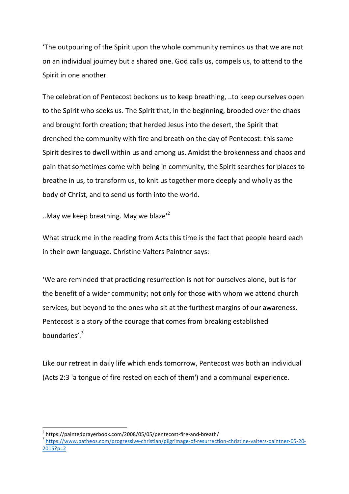'The outpouring of the Spirit upon the whole community reminds us that we are not on an individual journey but a shared one. God calls us, compels us, to attend to the Spirit in one another.

The celebration of Pentecost beckons us to keep breathing, ..to keep ourselves open to the Spirit who seeks us. The Spirit that, in the beginning, brooded over the chaos and brought forth creation; that herded Jesus into the desert, the Spirit that drenched the community with fire and breath on the day of Pentecost: this same Spirit desires to dwell within us and among us. Amidst the brokenness and chaos and pain that sometimes come with being in community, the Spirit searches for places to breathe in us, to transform us, to knit us together more deeply and wholly as the body of Christ, and to send us forth into the world.

..May we keep breathing. May we blaze'<sup>2</sup>

What struck me in the reading from Acts this time is the fact that people heard each in their own language. Christine Valters Paintner says:

'We are reminded that practicing resurrection is not for ourselves alone, but is for the benefit of a wider community; not only for those with whom we attend church services, but beyond to the ones who sit at the furthest margins of our awareness. Pentecost is a story of the courage that comes from breaking established boundaries'.<sup>3</sup>

Like our retreat in daily life which ends tomorrow, Pentecost was both an individual (Acts 2:3 'a tongue of fire rested on each of them') and a communal experience.

<sup>&</sup>lt;sup>2</sup> https://paintedprayerbook.com/2008/05/05/pentecost-fire-and-breath/<br> $3$  https://www.patheos.com/progressive-christian/pilgrimage-of-resurrection-christine-valters-paintner-05-20-2015?p=2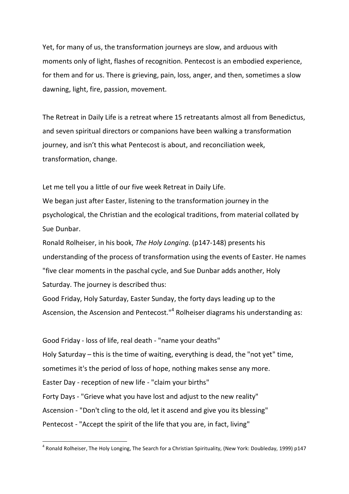Yet, for many of us, the transformation journeys are slow, and arduous with moments only of light, flashes of recognition. Pentecost is an embodied experience, for them and for us. There is grieving, pain, loss, anger, and then, sometimes a slow dawning, light, fire, passion, movement.

The Retreat in Daily Life is a retreat where 15 retreatants almost all from Benedictus, and seven spiritual directors or companions have been walking a transformation journey, and isn't this what Pentecost is about, and reconciliation week, transformation, change.

Let me tell you a little of our five week Retreat in Daily Life. We began just after Easter, listening to the transformation journey in the psychological, the Christian and the ecological traditions, from material collated by Sue Dunbar.

Ronald Rolheiser, in his book, *The Holy Longing*. (p147-148) presents his understanding of the process of transformation using the events of Easter. He names "five clear moments in the paschal cycle, and Sue Dunbar adds another, Holy Saturday. The journey is described thus:

Good Friday, Holy Saturday, Easter Sunday, the forty days leading up to the Ascension, the Ascension and Pentecost."<sup>4</sup> Rolheiser diagrams his understanding as:

Good Friday - loss of life, real death - "name your deaths" Holy Saturday – this is the time of waiting, everything is dead, the "not yet" time, sometimes it's the period of loss of hope, nothing makes sense any more. Easter Day - reception of new life - "claim your births" Forty Days - "Grieve what you have lost and adjust to the new reality" Ascension - "Don't cling to the old, let it ascend and give you its blessing" Pentecost - "Accept the spirit of the life that you are, in fact, living"

<sup>4</sup> Ronald Rolheiser, The Holy Longing, The Search for <sup>a</sup> Christian Spirituality, (New York: Doubleday, 1999) p147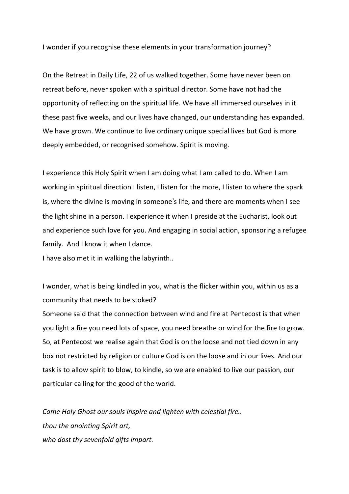I wonder if you recognise these elements in your transformation journey?

On the Retreat in Daily Life, 22 of us walked together. Some have never been on retreat before, never spoken with a spiritual director. Some have not had the opportunity of reflecting on the spiritual life. We have all immersed ourselves in it these past five weeks, and our lives have changed, our understanding has expanded. We have grown. We continue to live ordinary unique special lives but God is more deeply embedded, or recognised somehow. Spirit is moving.

I experience this Holy Spirit when I am doing what I am called to do. When I am working in spiritual direction I listen, I listen for the more, I listen to where the spark is, where the divine is moving in someone's life, and there are moments when I see the light shine in a person. I experience it when I preside at the Eucharist, look out and experience such love for you. And engaging in social action, sponsoring a refugee family. And I know it when I dance.

I have also met it in walking the labyrinth..

I wonder, what is being kindled in you, what is the flicker within you, within us as a community that needs to be stoked?

Someone said that the connection between wind and fire at Pentecost is that when you light a fire you need lots of space, you need breathe or wind for the fire to grow. So, at Pentecost we realise again that God is on the loose and not tied down in any box not restricted by religion or culture God is on the loose and in our lives. And our task is to allow spirit to blow, to kindle, so we are enabled to live our passion, our particular calling for the good of the world.

*Come Holy Ghost our souls inspire and lighten with celestial fire.. thou the anointing Spirit art, who dost thy sevenfold gifts impart.*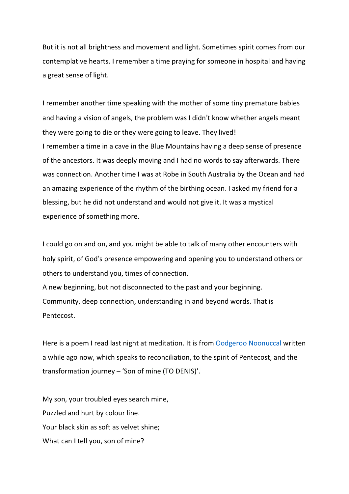But it is not all brightness and movement and light. Sometimes spirit comes from our contemplative hearts. I remember a time praying for someone in hospital and having a great sense of light.

I remember another time speaking with the mother of some tiny premature babies and having a vision of angels, the problem was I didn"t know whether angels meant they were going to die or they were going to leave. They lived! I remember a time in a cave in the Blue Mountains having a deep sense of presence of the ancestors. It was deeply moving and I had no words to say afterwards. There was connection. Another time I was at Robe in South Australia by the Ocean and had an amazing experience of the rhythm of the birthing ocean. I asked my friend for a blessing, but he did not understand and would not give it. It was a mystical experience of something more.

I could go on and on, and you might be able to talk of many other encounters with holy spirit, of God's presence empowering and opening you to understand others or others to understand you, times of connection.

A new beginning, but not disconnected to the past and your beginning. Community, deep connection, understanding in and beyond words. That is Pentecost.

Here is a poem I read last night at meditation. It is from Oodgeroo Noonuccal written a while ago now, which speaks to reconciliation, to the spirit of Pentecost, and the transformation journey – 'Son of mine (TO DENIS)'.

My son, your troubled eyes search mine, Puzzled and hurt by colour line. Your black skin as soft as velvet shine; What can I tell you, son of mine?